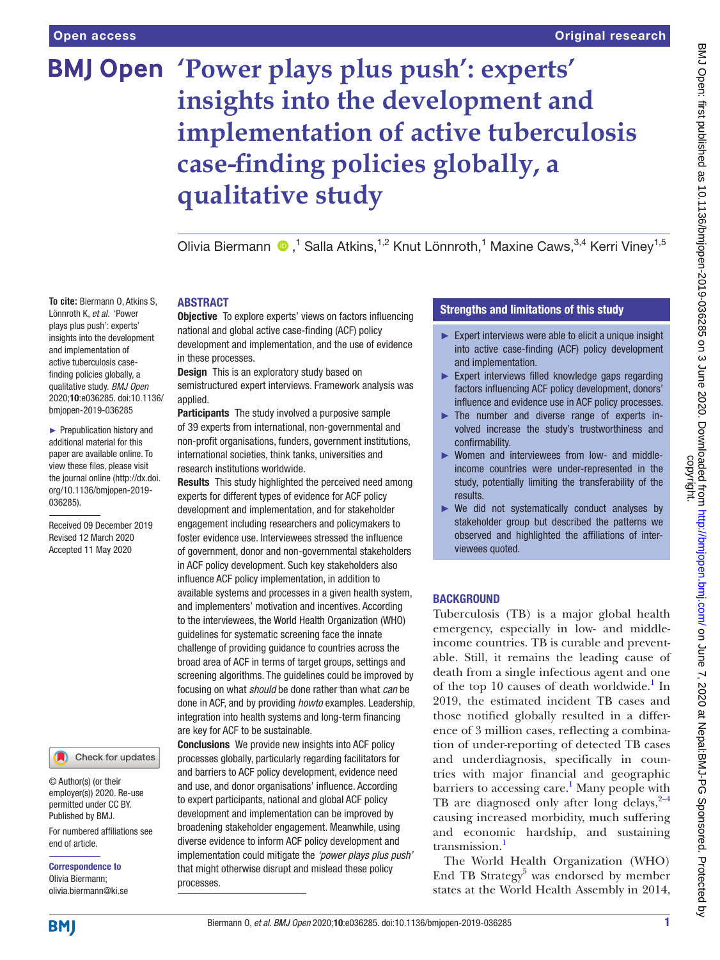**To cite:** Biermann O, Atkins S, Lönnroth K, *et al*. 'Power plays plus push': experts' insights into the development and implementation of active tuberculosis casefinding policies globally, a qualitative study. *BMJ Open* 2020;10:e036285. doi:10.1136/ bmjopen-2019-036285 ► Prepublication history and additional material for this paper are available online. To view these files, please visit the journal online (http://dx.doi. org/10.1136/bmjopen-2019-

036285).

Received 09 December 2019 Revised 12 March 2020 Accepted 11 May 2020

# **'Power plays plus push': experts' insights into the development and implementation of active tuberculosis case-finding policies globally, a qualitative study**

OliviaBiermann <sup>®</sup>,<sup>1</sup> Salla Atkins,<sup>1,2</sup> Knut Lönnroth,<sup>1</sup> Maxine Caws,<sup>3,4</sup> Kerri Viney<sup>1,5</sup>

# **ARSTRACT**

**Objective** To explore experts' views on factors influencing national and global active case-finding (ACF) policy development and implementation, and the use of evidence in these processes.

**Design** This is an exploratory study based on semistructured expert interviews. Framework analysis was annlied

Participants The study involved a purposive sample of 39 experts from international, non-governmental and non-profit organisations, funders, government institutions, international societies, think tanks, universities and research institutions worldwide.

Results This study highlighted the perceived need among experts for different types of evidence for ACF policy development and implementation, and for stakeholder engagement including researchers and policymakers to foster evidence use. Interviewees stressed the influence of government, donor and non-governmental stakeholders in ACF policy development. Such key stakeholders also influence ACF policy implementation, in addition to available systems and processes in a given health system, and implementers' motivation and incentives. According to the interviewees, the World Health Organization (WHO) guidelines for systematic screening face the innate challenge of providing guidance to countries across the broad area of ACF in terms of target groups, settings and screening algorithms. The guidelines could be improved by focusing on what *should* be done rather than what *can* be done in ACF, and by providing *howto* examples. Leadership, integration into health systems and long-term financing

Conclusions We provide new insights into ACF policy processes globally, particularly regarding facilitators for and barriers to ACF policy development, evidence need and use, and donor organisations' influence. According to expert participants, national and global ACF policy development and implementation can be improved by broadening stakeholder engagement. Meanwhile, using diverse evidence to inform ACF policy development and implementation could mitigate the *'power plays plus push'* that might otherwise disrupt and mislead these policy processes.

# Strengths and limitations of this study

- $\blacktriangleright$  Expert interviews were able to elicit a unique insight into active case-finding (ACF) policy development and implementation.
- ► Expert interviews filled knowledge gaps regarding factors influencing ACF policy development, donors' influence and evidence use in ACF policy processes.
- ► The number and diverse range of experts involved increase the study's trustworthiness and confirmability.
- ► Women and interviewees from low- and middleincome countries were under-represented in the study, potentially limiting the transferability of the results.
- ► We did not systematically conduct analyses by stakeholder group but described the patterns we observed and highlighted the affiliations of interviewees quoted.

# **BACKGROUND**

Tuberculosis (TB) is a major global health emergency, especially in low- and middleincome countries. TB is curable and preventable. Still, it remains the leading cause of death from a single infectious agent and one of the top 10 causes of death worldwide.<sup>1</sup> In 2019, the estimated incident TB cases and those notified globally resulted in a difference of 3 million cases, reflecting a combination of under-reporting of detected TB cases and underdiagnosis, specifically in countries with major financial and geographic barriers to accessing care.<sup>[1](#page-10-0)</sup> Many people with TB are diagnosed only after long delays,  $2-4$ causing increased morbidity, much suffering and economic hardship, and sustaining transmission.<sup>[1](#page-10-0)</sup>

The World Health Organization (WHO) End TB Strategy<sup>[5](#page-10-2)</sup> was endorsed by member states at the World Health Assembly in 2014,

are key for ACF to be sustainable.

Check for updates © Author(s) (or their

employer(s)) 2020. Re-use permitted under CC BY. Published by BMJ.

For numbered affiliations see end of article.

Correspondence to Olivia Biermann; olivia.biermann@ki.se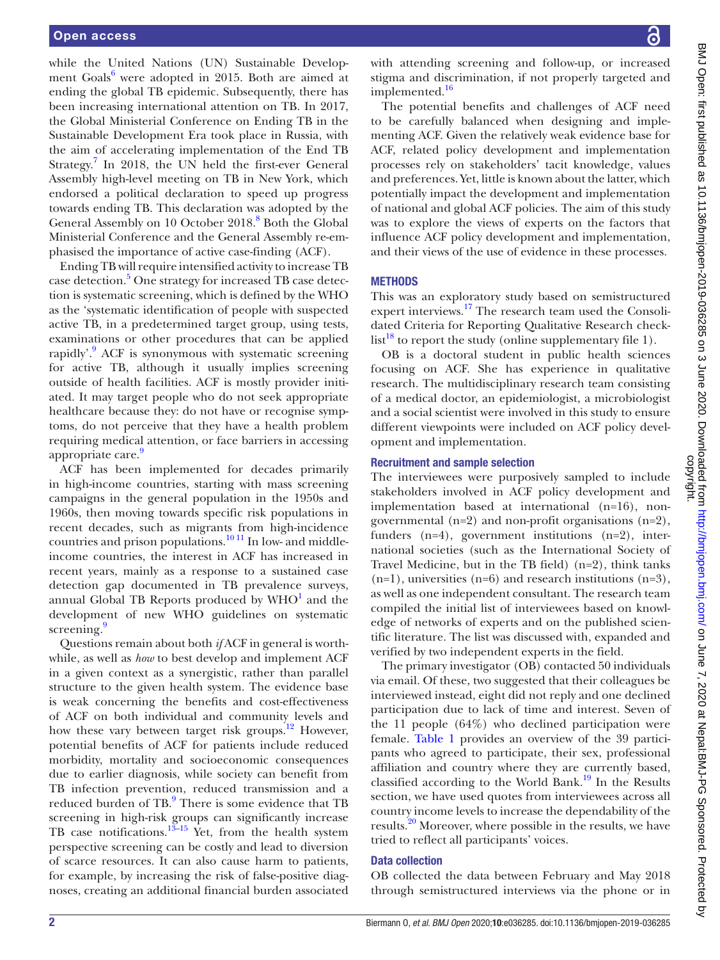while the United Nations (UN) Sustainable Develop-ment Goals<sup>[6](#page-10-3)</sup> were adopted in 2015. Both are aimed at ending the global TB epidemic. Subsequently, there has been increasing international attention on TB. In 2017, the Global Ministerial Conference on Ending TB in the Sustainable Development Era took place in Russia, with the aim of accelerating implementation of the End TB Strategy.<sup>7</sup> In 2018, the UN held the first-ever General Assembly high-level meeting on TB in New York, which endorsed a political declaration to speed up progress towards ending TB. This declaration was adopted by the General Assembly on 10 October 201[8](#page-10-5).<sup>8</sup> Both the Global Ministerial Conference and the General Assembly re-emphasised the importance of active case-finding (ACF).

Ending TB will require intensified activity to increase TB case detection.<sup>[5](#page-10-2)</sup> One strategy for increased TB case detection is systematic screening, which is defined by the WHO as the 'systematic identification of people with suspected active TB, in a predetermined target group, using tests, examinations or other procedures that can be applied rapidly'.<sup>9</sup> ACF is synonymous with systematic screening for active TB, although it usually implies screening outside of health facilities. ACF is mostly provider initiated. It may target people who do not seek appropriate healthcare because they: do not have or recognise symptoms, do not perceive that they have a health problem requiring medical attention, or face barriers in accessing appropriate care.<sup>[9](#page-10-6)</sup>

ACF has been implemented for decades primarily in high-income countries, starting with mass screening campaigns in the general population in the 1950s and 1960s, then moving towards specific risk populations in recent decades, such as migrants from high-incidence countries and prison populations.<sup>[10 11](#page-10-7)</sup> In low- and middleincome countries, the interest in ACF has increased in recent years, mainly as a response to a sustained case detection gap documented in TB prevalence surveys, annual Global TB Reports produced by  $WHO<sup>1</sup>$  $WHO<sup>1</sup>$  $WHO<sup>1</sup>$  and the development of new WHO guidelines on systematic screening.<sup>[9](#page-10-6)</sup>

Questions remain about both *if* ACF in general is worthwhile, as well as *how* to best develop and implement ACF in a given context as a synergistic, rather than parallel structure to the given health system. The evidence base is weak concerning the benefits and cost-effectiveness of ACF on both individual and community levels and how these vary between target risk groups.<sup>12</sup> However, potential benefits of ACF for patients include reduced morbidity, mortality and socioeconomic consequences due to earlier diagnosis, while society can benefit from TB infection prevention, reduced transmission and a reduced burden of TB.<sup>9</sup> There is some evidence that TB screening in high-risk groups can significantly increase TB case notifications. $13\frac{15}{15}$  Yet, from the health system perspective screening can be costly and lead to diversion of scarce resources. It can also cause harm to patients, for example, by increasing the risk of false-positive diagnoses, creating an additional financial burden associated

BMJ Open: first published as 10.1136/bmjopen-2019-036285 on 3 June 2020. Downloaded from http://bmjopen.bm/ on June 7, 2020 at Nepal:BMJ-PG Sponsored. Protected by<br>copyright. BMJ Open: first published as 10.1136/bmjopen-2019-036285 on 3 June 2020. Downloaded from bttp://bmjopen.bmj.com/ an une 7, 2020 at Nepal:BMJ-PG Sponsored. Protected by

with attending screening and follow-up, or increased stigma and discrimination, if not properly targeted and implemented.<sup>[16](#page-10-10)</sup>

The potential benefits and challenges of ACF need to be carefully balanced when designing and implementing ACF. Given the relatively weak evidence base for ACF, related policy development and implementation processes rely on stakeholders' tacit knowledge, values and preferences. Yet, little is known about the latter, which potentially impact the development and implementation of national and global ACF policies. The aim of this study was to explore the views of experts on the factors that influence ACF policy development and implementation, and their views of the use of evidence in these processes.

# **METHODS**

This was an exploratory study based on semistructured expert interviews.<sup>17</sup> The research team used the Consolidated Criteria for Reporting Qualitative Research check- $list^{18}$  $list^{18}$  $list^{18}$  to report the study ([online supplementary file 1\)](https://dx.doi.org/10.1136/bmjopen-2019-036285).

OB is a doctoral student in public health sciences focusing on ACF. She has experience in qualitative research. The multidisciplinary research team consisting of a medical doctor, an epidemiologist, a microbiologist and a social scientist were involved in this study to ensure different viewpoints were included on ACF policy development and implementation.

# Recruitment and sample selection

The interviewees were purposively sampled to include stakeholders involved in ACF policy development and implementation based at international (n=16), nongovernmental (n=2) and non-profit organisations (n=2), funders (n=4), government institutions (n=2), international societies (such as the International Society of Travel Medicine, but in the TB field) (n=2), think tanks  $(n=1)$ , universities  $(n=6)$  and research institutions  $(n=3)$ , as well as one independent consultant. The research team compiled the initial list of interviewees based on knowledge of networks of experts and on the published scientific literature. The list was discussed with, expanded and verified by two independent experts in the field.

The primary investigator (OB) contacted 50 individuals via email. Of these, two suggested that their colleagues be interviewed instead, eight did not reply and one declined participation due to lack of time and interest. Seven of the 11 people (64%) who declined participation were female. [Table](#page-2-0) 1 provides an overview of the 39 participants who agreed to participate, their sex, professional affiliation and country where they are currently based, classified according to the World Bank.<sup>19</sup> In the Results section, we have used quotes from interviewees across all country income levels to increase the dependability of the results.[20](#page-10-14) Moreover, where possible in the results, we have tried to reflect all participants' voices.

# Data collection

OB collected the data between February and May 2018 through semistructured interviews via the phone or in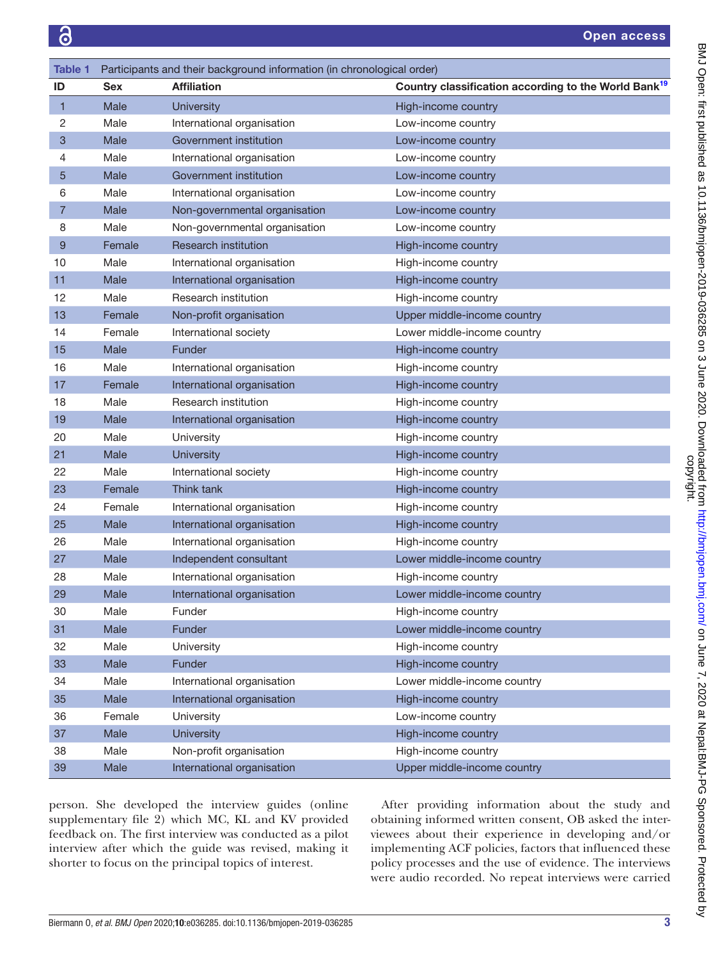<span id="page-2-0"></span>

| <b>Table 1</b> | Participants and their background information (in chronological order) |                               |                                                                  |  |  |  |
|----------------|------------------------------------------------------------------------|-------------------------------|------------------------------------------------------------------|--|--|--|
| ID             | Sex                                                                    | <b>Affiliation</b>            | Country classification according to the World Bank <sup>19</sup> |  |  |  |
| 1              | Male                                                                   | <b>University</b>             | High-income country                                              |  |  |  |
| 2              | Male                                                                   | International organisation    | Low-income country                                               |  |  |  |
| 3              | Male                                                                   | Government institution        | Low-income country                                               |  |  |  |
| 4              | Male                                                                   | International organisation    | Low-income country                                               |  |  |  |
| 5              | Male                                                                   | Government institution        | Low-income country                                               |  |  |  |
| 6              | Male                                                                   | International organisation    | Low-income country                                               |  |  |  |
| 7              | Male                                                                   | Non-governmental organisation | Low-income country                                               |  |  |  |
| 8              | Male                                                                   | Non-governmental organisation | Low-income country                                               |  |  |  |
| 9              | Female                                                                 | <b>Research institution</b>   | High-income country                                              |  |  |  |
| 10             | Male                                                                   | International organisation    | High-income country                                              |  |  |  |
| 11             | Male                                                                   | International organisation    | High-income country                                              |  |  |  |
| 12             | Male                                                                   | Research institution          | High-income country                                              |  |  |  |
| 13             | Female                                                                 | Non-profit organisation       | Upper middle-income country                                      |  |  |  |
| 14             | Female                                                                 | International society         | Lower middle-income country                                      |  |  |  |
| 15             | Male                                                                   | Funder                        | High-income country                                              |  |  |  |
| 16             | Male                                                                   | International organisation    | High-income country                                              |  |  |  |
| 17             | Female                                                                 | International organisation    | High-income country                                              |  |  |  |
| 18             | Male                                                                   | Research institution          | High-income country                                              |  |  |  |
| 19             | Male                                                                   | International organisation    | High-income country                                              |  |  |  |
| 20             | Male                                                                   | University                    | High-income country                                              |  |  |  |
| 21             | <b>Male</b>                                                            | <b>University</b>             | High-income country                                              |  |  |  |
| 22             | Male                                                                   | International society         | High-income country                                              |  |  |  |
| 23             | Female                                                                 | Think tank                    | High-income country                                              |  |  |  |
| 24             | Female                                                                 | International organisation    | High-income country                                              |  |  |  |
| 25             | Male                                                                   | International organisation    | High-income country                                              |  |  |  |
| 26             | Male                                                                   | International organisation    | High-income country                                              |  |  |  |
| 27             | Male                                                                   | Independent consultant        | Lower middle-income country                                      |  |  |  |
| 28             | Male                                                                   | International organisation    | High-income country                                              |  |  |  |
| 29             | Male                                                                   | International organisation    | Lower middle-income country                                      |  |  |  |
| 30             | Male                                                                   | Funder                        | High-income country                                              |  |  |  |
| 31             | Male                                                                   | Funder                        | Lower middle-income country                                      |  |  |  |
| 32             | Male                                                                   | University                    | High-income country                                              |  |  |  |
| 33             | Male                                                                   | Funder                        | High-income country                                              |  |  |  |
| 34             | Male                                                                   | International organisation    | Lower middle-income country                                      |  |  |  |
| 35             | Male                                                                   | International organisation    | High-income country                                              |  |  |  |
| 36             | Female                                                                 | University                    | Low-income country                                               |  |  |  |
| 37             | Male                                                                   | <b>University</b>             | High-income country                                              |  |  |  |
| 38             | Male                                                                   | Non-profit organisation       | High-income country                                              |  |  |  |
| 39             | Male                                                                   | International organisation    | Upper middle-income country                                      |  |  |  |

person. She developed the interview guides [\(online](https://dx.doi.org/10.1136/bmjopen-2019-036285) [supplementary file 2\)](https://dx.doi.org/10.1136/bmjopen-2019-036285) which MC, KL and KV provided feedback on. The first interview was conducted as a pilot interview after which the guide was revised, making it shorter to focus on the principal topics of interest.

After providing information about the study and obtaining informed written consent, OB asked the interviewees about their experience in developing and/or implementing ACF policies, factors that influenced these policy processes and the use of evidence. The interviews were audio recorded. No repeat interviews were carried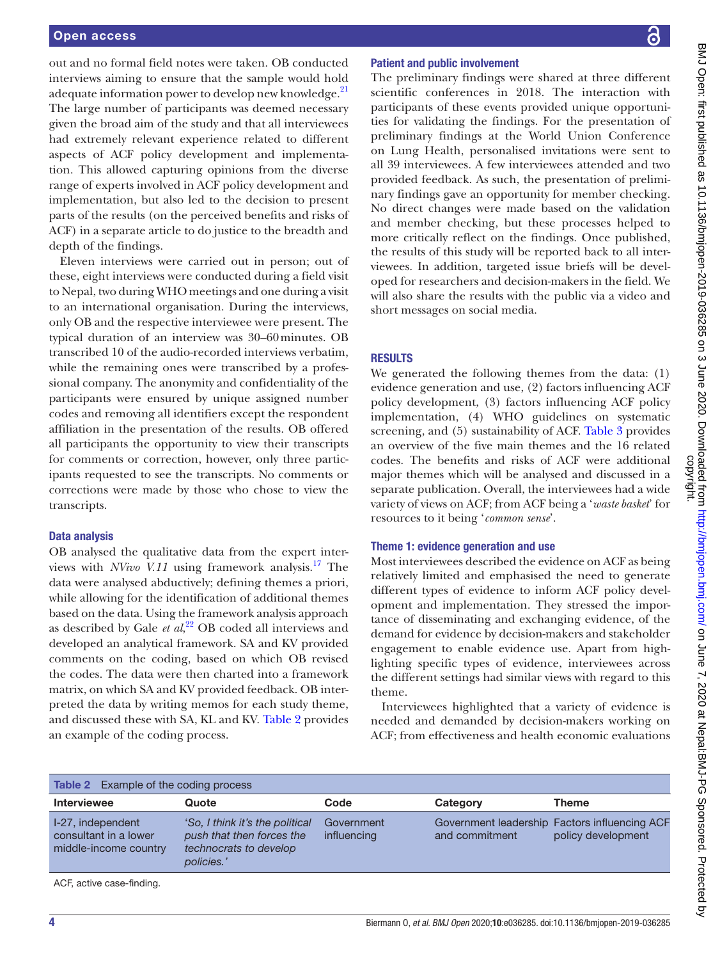out and no formal field notes were taken. OB conducted interviews aiming to ensure that the sample would hold adequate information power to develop new knowledge.<sup>[21](#page-10-15)</sup> The large number of participants was deemed necessary given the broad aim of the study and that all interviewees had extremely relevant experience related to different aspects of ACF policy development and implementation. This allowed capturing opinions from the diverse range of experts involved in ACF policy development and implementation, but also led to the decision to present parts of the results (on the perceived benefits and risks of ACF) in a separate article to do justice to the breadth and depth of the findings.

Eleven interviews were carried out in person; out of these, eight interviews were conducted during a field visit to Nepal, two during WHO meetings and one during a visit to an international organisation. During the interviews, only OB and the respective interviewee were present. The typical duration of an interview was 30–60minutes. OB transcribed 10 of the audio-recorded interviews verbatim, while the remaining ones were transcribed by a professional company. The anonymity and confidentiality of the participants were ensured by unique assigned number codes and removing all identifiers except the respondent affiliation in the presentation of the results. OB offered all participants the opportunity to view their transcripts for comments or correction, however, only three participants requested to see the transcripts. No comments or corrections were made by those who chose to view the transcripts.

#### Data analysis

OB analysed the qualitative data from the expert interviews with *NVivo V.11* using framework analysis.[17](#page-10-11) The data were analysed abductively; defining themes a priori, while allowing for the identification of additional themes based on the data. Using the framework analysis approach as described by Gale *et al*, [22](#page-10-16) OB coded all interviews and developed an analytical framework. SA and KV provided comments on the coding, based on which OB revised the codes. The data were then charted into a framework matrix, on which SA and KV provided feedback. OB interpreted the data by writing memos for each study theme, and discussed these with SA, KL and KV. [Table](#page-3-0) 2 provides an example of the coding process.

#### Patient and public involvement

The preliminary findings were shared at three different scientific conferences in 2018. The interaction with participants of these events provided unique opportunities for validating the findings. For the presentation of preliminary findings at the World Union Conference on Lung Health, personalised invitations were sent to all 39 interviewees. A few interviewees attended and two provided feedback. As such, the presentation of preliminary findings gave an opportunity for member checking. No direct changes were made based on the validation and member checking, but these processes helped to more critically reflect on the findings. Once published, the results of this study will be reported back to all interviewees. In addition, targeted issue briefs will be developed for researchers and decision-makers in the field. We will also share the results with the public via a video and short messages on social media.

# **RESULTS**

We generated the following themes from the data: (1) evidence generation and use, (2) factors influencing ACF policy development, (3) factors influencing ACF policy implementation, (4) WHO guidelines on systematic screening, and (5) sustainability of ACF. [Table](#page-4-0) 3 provides an overview of the five main themes and the 16 related codes. The benefits and risks of ACF were additional major themes which will be analysed and discussed in a separate publication. Overall, the interviewees had a wide variety of views on ACF; from ACF being a '*waste basket*' for resources to it being '*common sense*'.

#### Theme 1: evidence generation and use

Most interviewees described the evidence on ACF as being relatively limited and emphasised the need to generate different types of evidence to inform ACF policy development and implementation. They stressed the importance of disseminating and exchanging evidence, of the demand for evidence by decision-makers and stakeholder engagement to enable evidence use. Apart from highlighting specific types of evidence, interviewees across the different settings had similar views with regard to this theme.

Interviewees highlighted that a variety of evidence is needed and demanded by decision-makers working on ACF; from effectiveness and health economic evaluations

<span id="page-3-0"></span>

| <b>Table 2</b> Example of the coding process                        |                                                                                                      |                           |                |                                                                     |  |  |  |
|---------------------------------------------------------------------|------------------------------------------------------------------------------------------------------|---------------------------|----------------|---------------------------------------------------------------------|--|--|--|
| <b>Interviewee</b>                                                  | Quote                                                                                                | Code                      | Category       | <b>Theme</b>                                                        |  |  |  |
| I-27, independent<br>consultant in a lower<br>middle-income country | 'So, I think it's the political<br>push that then forces the<br>technocrats to develop<br>policies.' | Government<br>influencing | and commitment | Government leadership Factors influencing ACF<br>policy development |  |  |  |
| ACF, active case-finding.                                           |                                                                                                      |                           |                |                                                                     |  |  |  |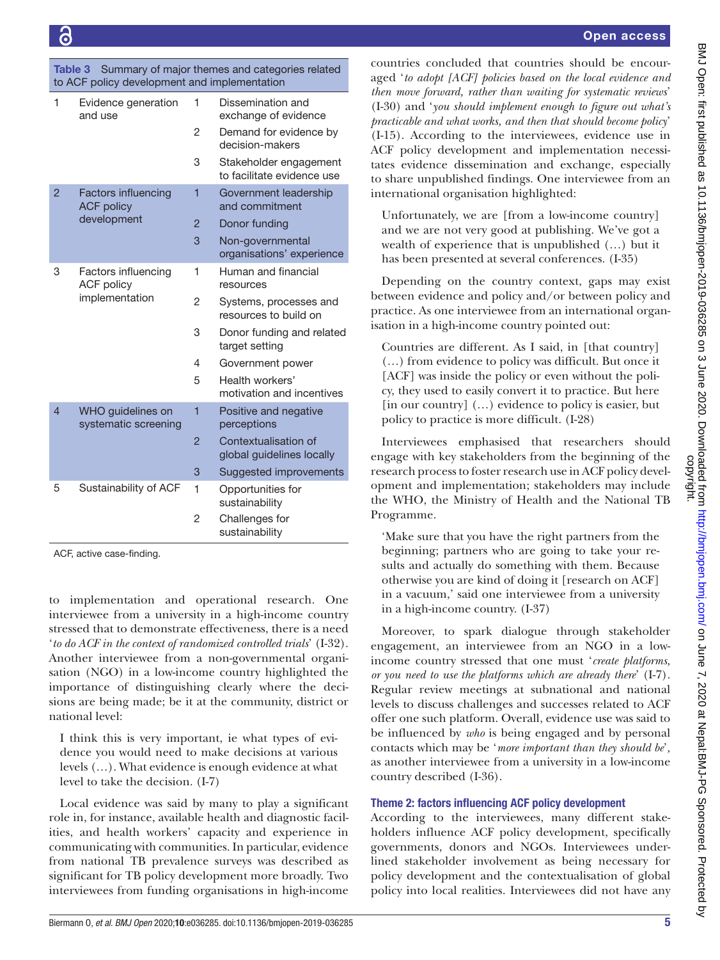<span id="page-4-0"></span>

| Table 3 Summary of major themes and categories related |  |
|--------------------------------------------------------|--|
| to ACF policy development and implementation           |  |

| 1                         | Evidence generation<br>and use                                 | 1              | Dissemination and<br>exchange of evidence            |  |  |
|---------------------------|----------------------------------------------------------------|----------------|------------------------------------------------------|--|--|
|                           |                                                                | 2              | Demand for evidence by<br>decision-makers            |  |  |
|                           |                                                                | 3              | Stakeholder engagement<br>to facilitate evidence use |  |  |
| $\overline{2}$            | <b>Factors influencing</b><br><b>ACF</b> policy<br>development | $\overline{1}$ | Government leadership<br>and commitment              |  |  |
|                           |                                                                | $\overline{2}$ | Donor funding                                        |  |  |
|                           |                                                                | 3              | Non-governmental<br>organisations' experience        |  |  |
| 3                         | Factors influencing<br><b>ACF policy</b><br>implementation     | 1              | Human and financial<br>resources                     |  |  |
|                           |                                                                | 2              | Systems, processes and<br>resources to build on      |  |  |
|                           |                                                                | 3              | Donor funding and related<br>target setting          |  |  |
|                           |                                                                | 4              | Government power                                     |  |  |
|                           |                                                                | 5              | Health workers'<br>motivation and incentives         |  |  |
| $\overline{4}$            | WHO guidelines on<br>systematic screening                      | $\overline{1}$ | Positive and negative<br>perceptions                 |  |  |
|                           |                                                                | $\overline{2}$ | Contextualisation of<br>global guidelines locally    |  |  |
|                           |                                                                | 3              | Suggested improvements                               |  |  |
| 5                         | Sustainability of ACF                                          | 1              | Opportunities for<br>sustainability                  |  |  |
|                           |                                                                | 2              | Challenges for<br>sustainability                     |  |  |
| ACF, active case-finding. |                                                                |                |                                                      |  |  |

to implementation and operational research. One interviewee from a university in a high-income country stressed that to demonstrate effectiveness, there is a need '*to do ACF in the context of randomized controlled trials*' (I-32). Another interviewee from a non-governmental organisation (NGO) in a low-income country highlighted the importance of distinguishing clearly where the decisions are being made; be it at the community, district or national level:

I think this is very important, ie what types of evidence you would need to make decisions at various levels (…). What evidence is enough evidence at what level to take the decision. (I-7)

Local evidence was said by many to play a significant role in, for instance, available health and diagnostic facilities, and health workers' capacity and experience in communicating with communities. In particular, evidence from national TB prevalence surveys was described as significant for TB policy development more broadly. Two interviewees from funding organisations in high-income

countries concluded that countries should be encouraged '*to adopt [ACF] policies based on the local evidence and then move forward, rather than waiting for systematic reviews*' (I-30) and '*you should implement enough to figure out what's practicable and what works, and then that should become policy*' (I-15). According to the interviewees, evidence use in ACF policy development and implementation necessitates evidence dissemination and exchange, especially to share unpublished findings. One interviewee from an international organisation highlighted:

Unfortunately, we are [from a low-income country] and we are not very good at publishing. We've got a wealth of experience that is unpublished (…) but it has been presented at several conferences. (I-35)

Depending on the country context, gaps may exist between evidence and policy and/or between policy and practice. As one interviewee from an international organisation in a high-income country pointed out:

Countries are different. As I said, in [that country] (…) from evidence to policy was difficult. But once it [ACF] was inside the policy or even without the policy, they used to easily convert it to practice. But here [in our country] (…) evidence to policy is easier, but policy to practice is more difficult. (I-28)

Interviewees emphasised that researchers should engage with key stakeholders from the beginning of the research process to foster research use in ACF policy development and implementation; stakeholders may include the WHO, the Ministry of Health and the National TB Programme.

'Make sure that you have the right partners from the beginning; partners who are going to take your results and actually do something with them. Because otherwise you are kind of doing it [research on ACF] in a vacuum,' said one interviewee from a university in a high-income country. (I-37)

Moreover, to spark dialogue through stakeholder engagement, an interviewee from an NGO in a lowincome country stressed that one must '*create platforms, or you need to use the platforms which are already there*' (I-7). Regular review meetings at subnational and national levels to discuss challenges and successes related to ACF offer one such platform. Overall, evidence use was said to be influenced by *who* is being engaged and by personal contacts which may be '*more important than they should be*'*,* as another interviewee from a university in a low-income country described (I-36).

# Theme 2: factors influencing ACF policy development

According to the interviewees, many different stakeholders influence ACF policy development, specifically governments, donors and NGOs. Interviewees underlined stakeholder involvement as being necessary for policy development and the contextualisation of global policy into local realities. Interviewees did not have any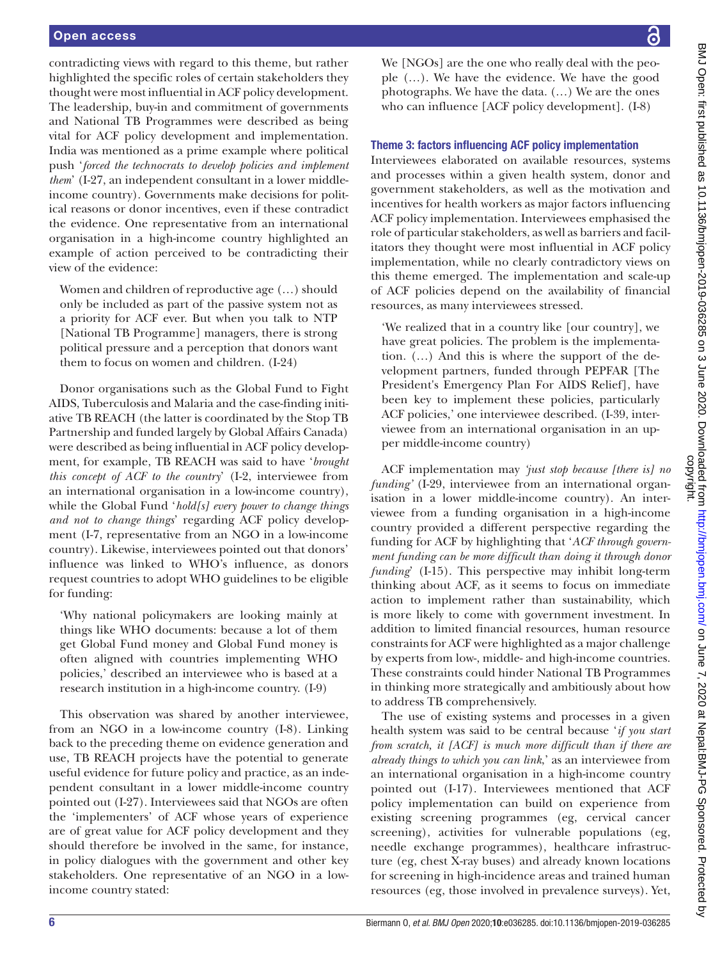contradicting views with regard to this theme, but rather highlighted the specific roles of certain stakeholders they thought were most influential in ACF policy development. The leadership, buy-in and commitment of governments and National TB Programmes were described as being vital for ACF policy development and implementation. India was mentioned as a prime example where political push '*forced the technocrats to develop policies and implement them*' (I-27, an independent consultant in a lower middleincome country). Governments make decisions for political reasons or donor incentives, even if these contradict the evidence. One representative from an international organisation in a high-income country highlighted an example of action perceived to be contradicting their view of the evidence:

Women and children of reproductive age (…) should only be included as part of the passive system not as a priority for ACF ever. But when you talk to NTP [National TB Programme] managers, there is strong political pressure and a perception that donors want them to focus on women and children. (I-24)

Donor organisations such as the Global Fund to Fight AIDS, Tuberculosis and Malaria and the case-finding initiative TB REACH (the latter is coordinated by the Stop TB Partnership and funded largely by Global Affairs Canada) were described as being influential in ACF policy development, for example, TB REACH was said to have '*brought this concept of ACF to the country*' (I-2, interviewee from an international organisation in a low-income country), while the Global Fund '*hold[s] every power to change things and not to change things*' regarding ACF policy development (I-7, representative from an NGO in a low-income country). Likewise, interviewees pointed out that donors' influence was linked to WHO's influence, as donors request countries to adopt WHO guidelines to be eligible for funding:

'Why national policymakers are looking mainly at things like WHO documents: because a lot of them get Global Fund money and Global Fund money is often aligned with countries implementing WHO policies,' described an interviewee who is based at a research institution in a high-income country. (I-9)

This observation was shared by another interviewee, from an NGO in a low-income country (I-8). Linking back to the preceding theme on evidence generation and use, TB REACH projects have the potential to generate useful evidence for future policy and practice, as an independent consultant in a lower middle-income country pointed out (I-27). Interviewees said that NGOs are often the 'implementers' of ACF whose years of experience are of great value for ACF policy development and they should therefore be involved in the same, for instance, in policy dialogues with the government and other key stakeholders. One representative of an NGO in a lowincome country stated:

We [NGOs] are the one who really deal with the people (…). We have the evidence. We have the good photographs. We have the data. (…) We are the ones who can influence [ACF policy development]. (I-8)

#### Theme 3: factors influencing ACF policy implementation

Interviewees elaborated on available resources, systems and processes within a given health system, donor and government stakeholders, as well as the motivation and incentives for health workers as major factors influencing ACF policy implementation. Interviewees emphasised the role of particular stakeholders, as well as barriers and facilitators they thought were most influential in ACF policy implementation, while no clearly contradictory views on this theme emerged. The implementation and scale-up of ACF policies depend on the availability of financial resources, as many interviewees stressed.

'We realized that in a country like [our country], we have great policies. The problem is the implementation. (…) And this is where the support of the development partners, funded through PEPFAR [The President's Emergency Plan For AIDS Relief], have been key to implement these policies, particularly ACF policies,' one interviewee described. (I-39, interviewee from an international organisation in an upper middle-income country)

ACF implementation may *'just stop because [there is] no funding'* (I-29, interviewee from an international organisation in a lower middle-income country). An interviewee from a funding organisation in a high-income country provided a different perspective regarding the funding for ACF by highlighting that '*ACF through government funding can be more difficult than doing it through donor funding*' (I-15). This perspective may inhibit long-term thinking about ACF, as it seems to focus on immediate action to implement rather than sustainability, which is more likely to come with government investment. In addition to limited financial resources, human resource constraints for ACF were highlighted as a major challenge by experts from low-, middle- and high-income countries. These constraints could hinder National TB Programmes in thinking more strategically and ambitiously about how to address TB comprehensively.

The use of existing systems and processes in a given health system was said to be central because '*if you start from scratch, it [ACF] is much more difficult than if there are already things to which you can link*,' as an interviewee from an international organisation in a high-income country pointed out (I-17). Interviewees mentioned that ACF policy implementation can build on experience from existing screening programmes (eg, cervical cancer screening), activities for vulnerable populations (eg, needle exchange programmes), healthcare infrastructure (eg, chest X-ray buses) and already known locations for screening in high-incidence areas and trained human resources (eg, those involved in prevalence surveys). Yet,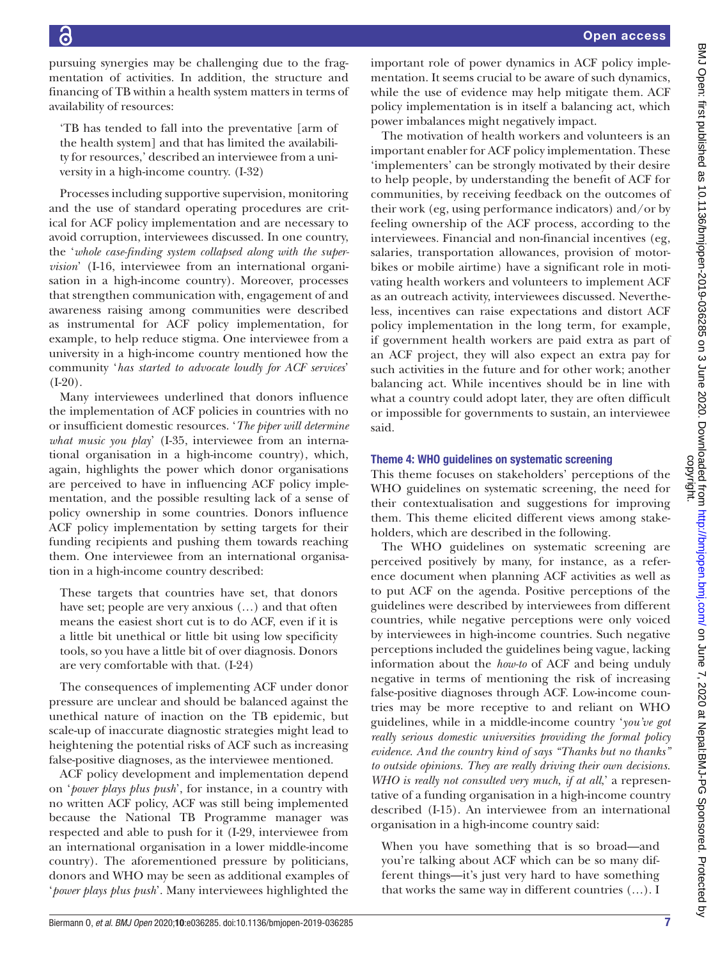pursuing synergies may be challenging due to the fragmentation of activities. In addition, the structure and financing of TB within a health system matters in terms of availability of resources:

'TB has tended to fall into the preventative [arm of the health system] and that has limited the availability for resources,' described an interviewee from a university in a high-income country. (I-32)

Processes including supportive supervision, monitoring and the use of standard operating procedures are critical for ACF policy implementation and are necessary to avoid corruption, interviewees discussed. In one country, the '*whole case-finding system collapsed along with the supervision*' (I-16, interviewee from an international organisation in a high-income country). Moreover, processes that strengthen communication with, engagement of and awareness raising among communities were described as instrumental for ACF policy implementation, for example, to help reduce stigma. One interviewee from a university in a high-income country mentioned how the community '*has started to advocate loudly for ACF services*'  $(I-20)$ .

Many interviewees underlined that donors influence the implementation of ACF policies in countries with no or insufficient domestic resources. '*The piper will determine what music you play*' (I-35, interviewee from an international organisation in a high-income country), which, again, highlights the power which donor organisations are perceived to have in influencing ACF policy implementation, and the possible resulting lack of a sense of policy ownership in some countries. Donors influence ACF policy implementation by setting targets for their funding recipients and pushing them towards reaching them. One interviewee from an international organisation in a high-income country described:

These targets that countries have set, that donors have set; people are very anxious (…) and that often means the easiest short cut is to do ACF, even if it is a little bit unethical or little bit using low specificity tools, so you have a little bit of over diagnosis. Donors are very comfortable with that. (I-24)

The consequences of implementing ACF under donor pressure are unclear and should be balanced against the unethical nature of inaction on the TB epidemic, but scale-up of inaccurate diagnostic strategies might lead to heightening the potential risks of ACF such as increasing false-positive diagnoses, as the interviewee mentioned.

ACF policy development and implementation depend on '*power plays plus push*', for instance, in a country with no written ACF policy, ACF was still being implemented because the National TB Programme manager was respected and able to push for it (I-29, interviewee from an international organisation in a lower middle-income country). The aforementioned pressure by politicians, donors and WHO may be seen as additional examples of '*power plays plus push*'. Many interviewees highlighted the

important role of power dynamics in ACF policy implementation. It seems crucial to be aware of such dynamics, while the use of evidence may help mitigate them. ACF policy implementation is in itself a balancing act, which power imbalances might negatively impact.

The motivation of health workers and volunteers is an important enabler for ACF policy implementation. These 'implementers' can be strongly motivated by their desire to help people, by understanding the benefit of ACF for communities, by receiving feedback on the outcomes of their work (eg, using performance indicators) and/or by feeling ownership of the ACF process, according to the interviewees. Financial and non-financial incentives (eg, salaries, transportation allowances, provision of motorbikes or mobile airtime) have a significant role in motivating health workers and volunteers to implement ACF as an outreach activity, interviewees discussed. Nevertheless, incentives can raise expectations and distort ACF policy implementation in the long term, for example, if government health workers are paid extra as part of an ACF project, they will also expect an extra pay for such activities in the future and for other work; another balancing act. While incentives should be in line with what a country could adopt later, they are often difficult or impossible for governments to sustain, an interviewee said.

# Theme 4: WHO guidelines on systematic screening

This theme focuses on stakeholders' perceptions of the WHO guidelines on systematic screening, the need for their contextualisation and suggestions for improving them. This theme elicited different views among stakeholders, which are described in the following.

The WHO guidelines on systematic screening are perceived positively by many, for instance, as a reference document when planning ACF activities as well as to put ACF on the agenda. Positive perceptions of the guidelines were described by interviewees from different countries, while negative perceptions were only voiced by interviewees in high-income countries. Such negative perceptions included the guidelines being vague, lacking information about the *how-to* of ACF and being unduly negative in terms of mentioning the risk of increasing false-positive diagnoses through ACF. Low-income countries may be more receptive to and reliant on WHO guidelines, while in a middle-income country '*you've got really serious domestic universities providing the formal policy evidence. And the country kind of says "Thanks but no thanks" to outside opinions. They are really driving their own decisions. WHO is really not consulted very much, if at all*,' a representative of a funding organisation in a high-income country described (I-15). An interviewee from an international organisation in a high-income country said:

When you have something that is so broad—and you're talking about ACF which can be so many different things—it's just very hard to have something that works the same way in different countries (…). I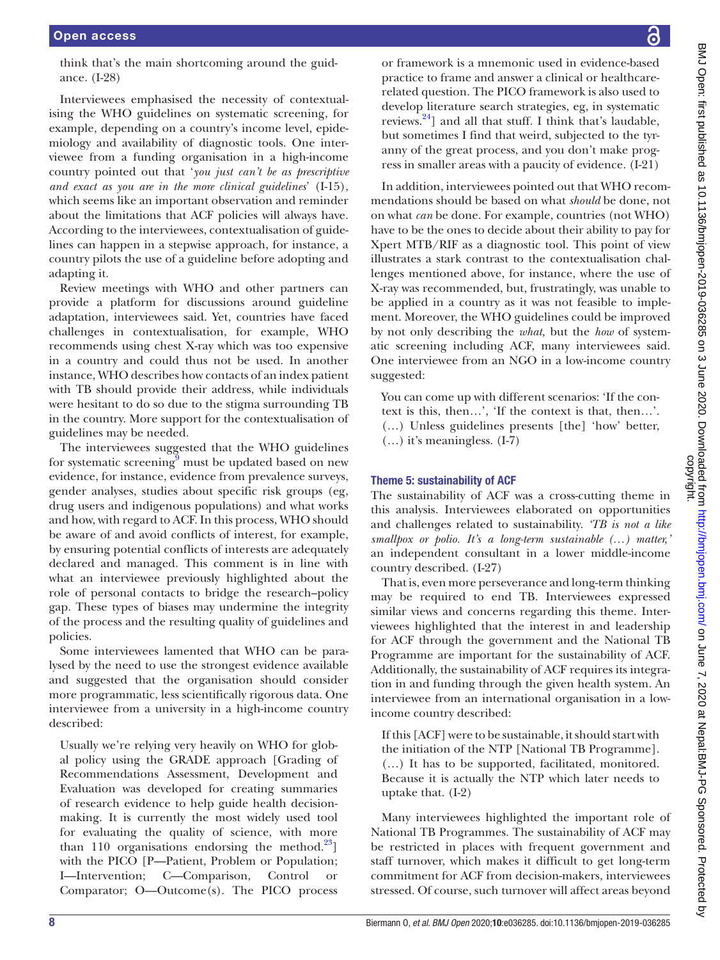think that's the main shortcoming around the guidance. (I-28)

Interviewees emphasised the necessity of contextualising the WHO guidelines on systematic screening, for example, depending on a country's income level, epidemiology and availability of diagnostic tools. One interviewee from a funding organisation in a high-income country pointed out that '*you just can't be as prescriptive and exact as you are in the more clinical guidelines*' (I-15), which seems like an important observation and reminder about the limitations that ACF policies will always have. According to the interviewees, contextualisation of guidelines can happen in a stepwise approach, for instance, a country pilots the use of a guideline before adopting and adapting it.

Review meetings with WHO and other partners can provide a platform for discussions around guideline adaptation, interviewees said. Yet, countries have faced challenges in contextualisation, for example, WHO recommends using chest X-ray which was too expensive in a country and could thus not be used. In another instance, WHO describes how contacts of an index patient with TB should provide their address, while individuals were hesitant to do so due to the stigma surrounding TB in the country. More support for the contextualisation of guidelines may be needed.

The interviewees suggested that the WHO guidelines for systematic screening must be updated based on new evidence, for instance, evidence from prevalence surveys, gender analyses, studies about specific risk groups (eg, drug users and indigenous populations) and what works and how, with regard to ACF. In this process, WHO should be aware of and avoid conflicts of interest, for example, by ensuring potential conflicts of interests are adequately declared and managed. This comment is in line with what an interviewee previously highlighted about the role of personal contacts to bridge the research–policy gap. These types of biases may undermine the integrity of the process and the resulting quality of guidelines and policies.

Some interviewees lamented that WHO can be paralysed by the need to use the strongest evidence available and suggested that the organisation should consider more programmatic, less scientifically rigorous data. One interviewee from a university in a high-income country described:

Usually we're relying very heavily on WHO for global policy using the GRADE approach [Grading of Recommendations Assessment, Development and Evaluation was developed for creating summaries of research evidence to help guide health decisionmaking. It is currently the most widely used tool for evaluating the quality of science, with more than 110 organisations endorsing the method.<sup>23</sup> with the PICO [P—Patient, Problem or Population; I—Intervention; C—Comparison, Control or Comparator; O—Outcome(s). The PICO process

or framework is a mnemonic used in evidence-based practice to frame and answer a clinical or healthcarerelated question. The PICO framework is also used to develop literature search strategies, eg, in systematic reviews. $^{24}$ ] and all that stuff. I think that's laudable, but sometimes I find that weird, subjected to the tyranny of the great process, and you don't make progress in smaller areas with a paucity of evidence. (I-21)

In addition, interviewees pointed out that WHO recommendations should be based on what *should* be done, not on what *can* be done. For example, countries (not WHO) have to be the ones to decide about their ability to pay for Xpert MTB/RIF as a diagnostic tool. This point of view illustrates a stark contrast to the contextualisation challenges mentioned above, for instance, where the use of X-ray was recommended, but, frustratingly, was unable to be applied in a country as it was not feasible to implement. Moreover, the WHO guidelines could be improved by not only describing the *what,* but the *how* of systematic screening including ACF, many interviewees said. One interviewee from an NGO in a low-income country suggested:

You can come up with different scenarios: 'If the context is this, then…', 'If the context is that, then…'. (…) Unless guidelines presents [the] 'how' better, (…) it's meaningless. (I-7)

### Theme 5: sustainability of ACF

The sustainability of ACF was a cross-cutting theme in this analysis. Interviewees elaborated on opportunities and challenges related to sustainability. *'TB is not a like smallpox or polio. It's a long-term sustainable (…) matter,'* an independent consultant in a lower middle-income country described. (I-27)

That is, even more perseverance and long-term thinking may be required to end TB. Interviewees expressed similar views and concerns regarding this theme. Interviewees highlighted that the interest in and leadership for ACF through the government and the National TB Programme are important for the sustainability of ACF. Additionally, the sustainability of ACF requires its integration in and funding through the given health system. An interviewee from an international organisation in a lowincome country described:

If this [ACF] were to be sustainable, it should start with the initiation of the NTP [National TB Programme]. (…) It has to be supported, facilitated, monitored. Because it is actually the NTP which later needs to uptake that. (I-2)

Many interviewees highlighted the important role of National TB Programmes. The sustainability of ACF may be restricted in places with frequent government and staff turnover, which makes it difficult to get long-term commitment for ACF from decision-makers, interviewees stressed. Of course, such turnover will affect areas beyond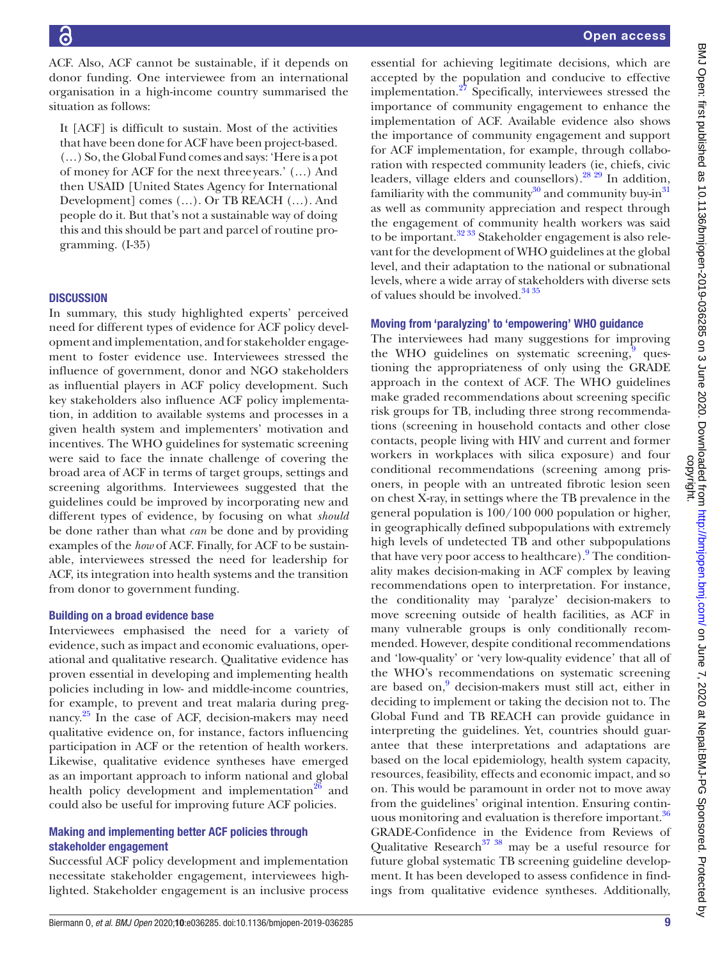ACF. Also, ACF cannot be sustainable, if it depends on donor funding. One interviewee from an international organisation in a high-income country summarised the situation as follows:

It [ACF] is difficult to sustain. Most of the activities that have been done for ACF have been project-based. (…) So, the Global Fund comes and says: 'Here is a pot of money for ACF for the next threeyears.' (…) And then USAID [United States Agency for International Development] comes (…). Or TB REACH (…). And people do it. But that's not a sustainable way of doing this and this should be part and parcel of routine programming. (I-35)

# **DISCUSSION**

In summary, this study highlighted experts' perceived need for different types of evidence for ACF policy development and implementation, and for stakeholder engagement to foster evidence use. Interviewees stressed the influence of government, donor and NGO stakeholders as influential players in ACF policy development. Such key stakeholders also influence ACF policy implementation, in addition to available systems and processes in a given health system and implementers' motivation and incentives. The WHO guidelines for systematic screening were said to face the innate challenge of covering the broad area of ACF in terms of target groups, settings and screening algorithms. Interviewees suggested that the guidelines could be improved by incorporating new and different types of evidence, by focusing on what *should* be done rather than what *can* be done and by providing examples of the *how* of ACF. Finally, for ACF to be sustainable, interviewees stressed the need for leadership for ACF, its integration into health systems and the transition from donor to government funding.

#### Building on a broad evidence base

Interviewees emphasised the need for a variety of evidence, such as impact and economic evaluations, operational and qualitative research. Qualitative evidence has proven essential in developing and implementing health policies including in low- and middle-income countries, for example, to prevent and treat malaria during pregnancy. $^{25}$  In the case of ACF, decision-makers may need qualitative evidence on, for instance, factors influencing participation in ACF or the retention of health workers. Likewise, qualitative evidence syntheses have emerged as an important approach to inform national and global health policy development and implementation<sup>26</sup> and could also be useful for improving future ACF policies.

# Making and implementing better ACF policies through stakeholder engagement

Successful ACF policy development and implementation necessitate stakeholder engagement, interviewees highlighted. Stakeholder engagement is an inclusive process

essential for achieving legitimate decisions, which are accepted by the population and conducive to effective implementation.<sup>27</sup> Specifically, interviewees stressed the importance of community engagement to enhance the implementation of ACF. Available evidence also shows the importance of community engagement and support for ACF implementation, for example, through collaboration with respected community leaders (ie, chiefs, civic leaders, village elders and counsellors)[.28 29](#page-10-22) In addition, familiarity with the community $30$  and community buy-in $31$ as well as community appreciation and respect through the engagement of community health workers was said to be important.<sup>32</sup> 33</sup> Stakeholder engagement is also relevant for the development of WHO guidelines at the global level, and their adaptation to the national or subnational levels, where a wide array of stakeholders with diverse sets of values should be involved.<sup>[34 35](#page-10-26)</sup>

# Moving from 'paralyzing' to 'empowering' WHO guidance

The interviewees had many suggestions for improving the WHO guidelines on systematic screening, $9$  questioning the appropriateness of only using the GRADE approach in the context of ACF. The WHO guidelines make graded recommendations about screening specific risk groups for TB, including three strong recommendations (screening in household contacts and other close contacts, people living with HIV and current and former workers in workplaces with silica exposure) and four conditional recommendations (screening among prisoners, in people with an untreated fibrotic lesion seen on chest X-ray, in settings where the TB prevalence in the general population is 100/100 000 population or higher, in geographically defined subpopulations with extremely high levels of undetected TB and other subpopulations that have very poor access to healthcare).<sup>9</sup> The conditionality makes decision-making in ACF complex by leaving recommendations open to interpretation. For instance, the conditionality may 'paralyze' decision-makers to move screening outside of health facilities, as ACF in many vulnerable groups is only conditionally recommended. However, despite conditional recommendations and 'low-quality' or 'very low-quality evidence' that all of the WHO's recommendations on systematic screening are based on,<sup>[9](#page-10-6)</sup> decision-makers must still act, either in deciding to implement or taking the decision not to. The Global Fund and TB REACH can provide guidance in interpreting the guidelines. Yet, countries should guarantee that these interpretations and adaptations are based on the local epidemiology, health system capacity, resources, feasibility, effects and economic impact, and so on. This would be paramount in order not to move away from the guidelines' original intention. Ensuring contin-uous monitoring and evaluation is therefore important.<sup>[36](#page-10-27)</sup> GRADE-Confidence in the Evidence from Reviews of Qualitative Research $37 \frac{38}{10}$  may be a useful resource for future global systematic TB screening guideline development. It has been developed to assess confidence in findings from qualitative evidence syntheses. Additionally,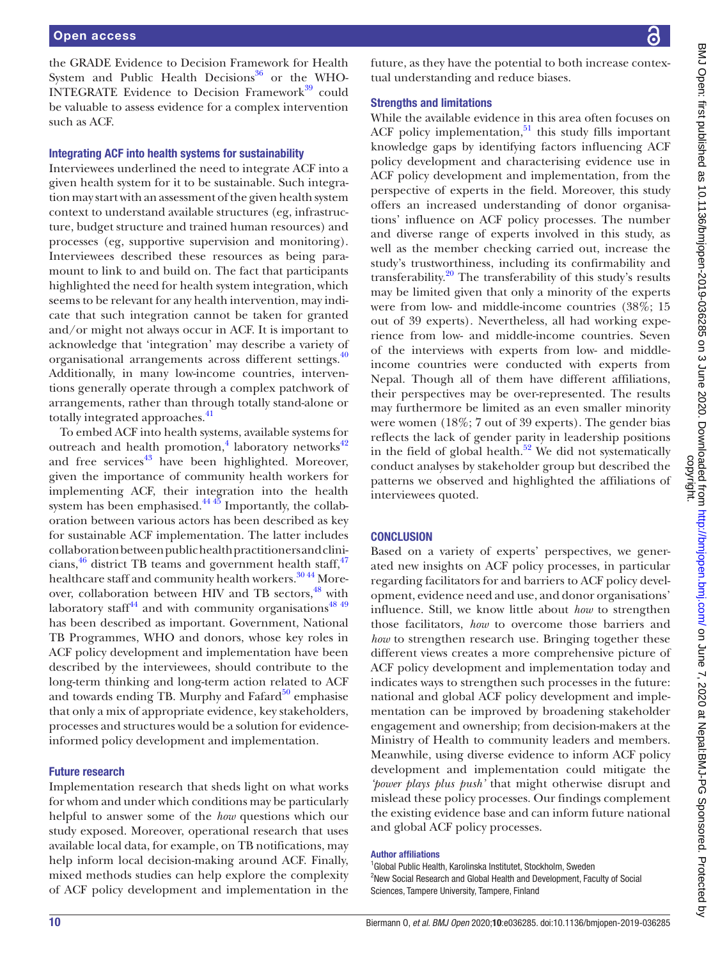#### Integrating ACF into health systems for sustainability

Interviewees underlined the need to integrate ACF into a given health system for it to be sustainable. Such integration may start with an assessment of the given health system context to understand available structures (eg, infrastructure, budget structure and trained human resources) and processes (eg, supportive supervision and monitoring). Interviewees described these resources as being paramount to link to and build on. The fact that participants highlighted the need for health system integration, which seems to be relevant for any health intervention, may indicate that such integration cannot be taken for granted and/or might not always occur in ACF. It is important to acknowledge that 'integration' may describe a variety of organisational arrangements across different settings.<sup>40</sup> Additionally, in many low-income countries, interventions generally operate through a complex patchwork of arrangements, rather than through totally stand-alone or totally integrated approaches.<sup>[41](#page-11-2)</sup>

To embed ACF into health systems, available systems for outreach and health promotion,<sup>4</sup> laboratory networks<sup>42</sup> and free services $43$  have been highlighted. Moreover, given the importance of community health workers for implementing ACF, their integration into the health system has been emphasised. $44\frac{45}{5}$  Importantly, the collaboration between various actors has been described as key for sustainable ACF implementation. The latter includes collaboration between public health practitioners and clinicians, $46$  district TB teams and government health staff, $47$ healthcare staff and community health workers.<sup>3044</sup> Moreover, collaboration between HIV and TB sectors,<sup>48</sup> with laboratory staff<sup> $44$ </sup> and with community organisations<sup> $48\frac{49}{2}$ </sup> has been described as important. Government, National TB Programmes, WHO and donors, whose key roles in ACF policy development and implementation have been described by the interviewees, should contribute to the long-term thinking and long-term action related to ACF and towards ending TB. Murphy and Fafard $50$  emphasise that only a mix of appropriate evidence, key stakeholders, processes and structures would be a solution for evidenceinformed policy development and implementation.

#### Future research

Implementation research that sheds light on what works for whom and under which conditions may be particularly helpful to answer some of the *how* questions which our study exposed. Moreover, operational research that uses available local data, for example, on TB notifications, may help inform local decision-making around ACF. Finally, mixed methods studies can help explore the complexity of ACF policy development and implementation in the

future, as they have the potential to both increase contextual understanding and reduce biases.

# Strengths and limitations

While the available evidence in this area often focuses on ACF policy implementation, $51$  this study fills important knowledge gaps by identifying factors influencing ACF policy development and characterising evidence use in ACF policy development and implementation, from the perspective of experts in the field. Moreover, this study offers an increased understanding of donor organisations' influence on ACF policy processes. The number and diverse range of experts involved in this study, as well as the member checking carried out, increase the study's trustworthiness, including its confirmability and transferability. $20$  The transferability of this study's results may be limited given that only a minority of the experts were from low- and middle-income countries (38%; 15 out of 39 experts). Nevertheless, all had working experience from low- and middle-income countries. Seven of the interviews with experts from low- and middleincome countries were conducted with experts from Nepal. Though all of them have different affiliations, their perspectives may be over-represented. The results may furthermore be limited as an even smaller minority were women (18%; 7 out of 39 experts). The gender bias reflects the lack of gender parity in leadership positions in the field of global health. $52$  We did not systematically conduct analyses by stakeholder group but described the patterns we observed and highlighted the affiliations of interviewees quoted.

#### **CONCLUSION**

Based on a variety of experts' perspectives, we generated new insights on ACF policy processes, in particular regarding facilitators for and barriers to ACF policy development, evidence need and use, and donor organisations' influence. Still, we know little about *how* to strengthen those facilitators, *how* to overcome those barriers and *how* to strengthen research use. Bringing together these different views creates a more comprehensive picture of ACF policy development and implementation today and indicates ways to strengthen such processes in the future: national and global ACF policy development and implementation can be improved by broadening stakeholder engagement and ownership; from decision-makers at the Ministry of Health to community leaders and members. Meanwhile, using diverse evidence to inform ACF policy development and implementation could mitigate the *'power plays plus push'* that might otherwise disrupt and mislead these policy processes. Our findings complement the existing evidence base and can inform future national and global ACF policy processes.

#### Author affiliations

<sup>1</sup>Global Public Health, Karolinska Institutet, Stockholm, Sweden <sup>2</sup>New Social Research and Global Health and Development, Faculty of Social Sciences, Tampere University, Tampere, Finland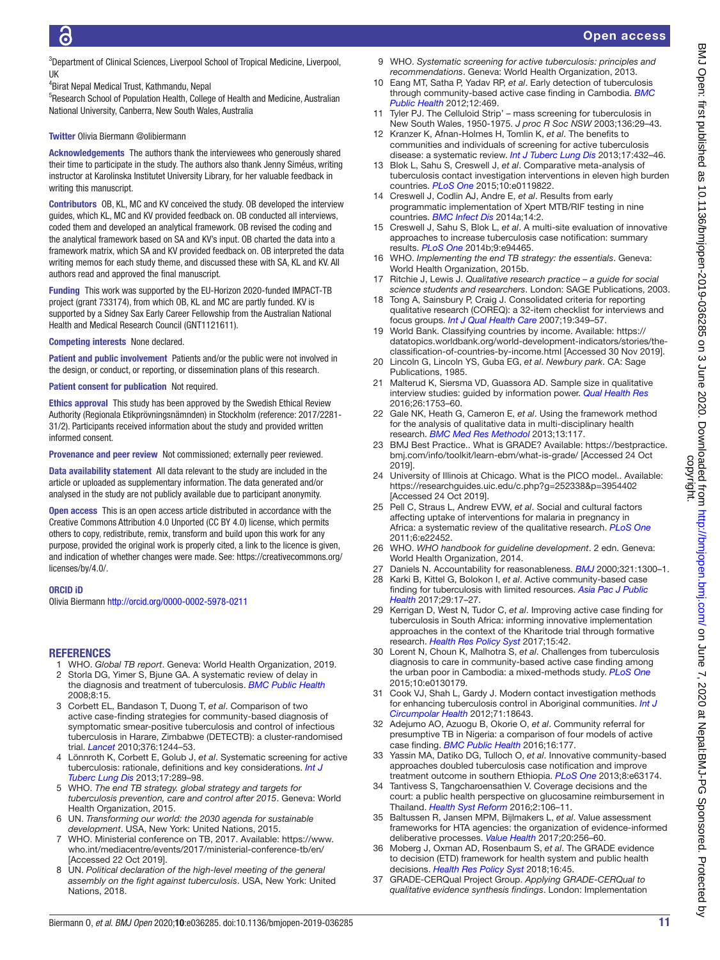<sup>3</sup>Department of Clinical Sciences, Liverpool School of Tropical Medicine, Liverpool, UK

4 Birat Nepal Medical Trust, Kathmandu, Nepal

<sup>5</sup>Research School of Population Health, College of Health and Medicine, Australian National University, Canberra, New South Wales, Australia

#### Twitter Olivia Biermann [@olibiermann](https://twitter.com/olibiermann)

Acknowledgements The authors thank the interviewees who generously shared their time to participate in the study. The authors also thank Jenny Siméus, writing instructor at Karolinska Institutet University Library, for her valuable feedback in writing this manuscript.

Contributors OB, KL, MC and KV conceived the study. OB developed the interview guides, which KL, MC and KV provided feedback on. OB conducted all interviews, coded them and developed an analytical framework. OB revised the coding and the analytical framework based on SA and KV's input. OB charted the data into a framework matrix, which SA and KV provided feedback on. OB interpreted the data writing memos for each study theme, and discussed these with SA, KL and KV. All authors read and approved the final manuscript.

Funding This work was supported by the EU-Horizon 2020-funded IMPACT-TB project (grant 733174), from which OB, KL and MC are partly funded. KV is supported by a Sidney Sax Early Career Fellowship from the Australian National Health and Medical Research Council (GNT1121611).

Competing interests None declared.

Patient and public involvement Patients and/or the public were not involved in the design, or conduct, or reporting, or dissemination plans of this research.

Patient consent for publication Not required.

Ethics approval This study has been approved by the Swedish Ethical Review Authority (Regionala Etikprövningsnämnden) in Stockholm (reference: 2017/2281- 31/2). Participants received information about the study and provided written informed consent.

Provenance and peer review Not commissioned; externally peer reviewed.

Data availability statement All data relevant to the study are included in the article or uploaded as supplementary information. The data generated and/or analysed in the study are not publicly available due to participant anonymity.

Open access This is an open access article distributed in accordance with the Creative Commons Attribution 4.0 Unported (CC BY 4.0) license, which permits others to copy, redistribute, remix, transform and build upon this work for any purpose, provided the original work is properly cited, a link to the licence is given, and indication of whether changes were made. See: [https://creativecommons.org/](https://creativecommons.org/licenses/by/4.0/) [licenses/by/4.0/.](https://creativecommons.org/licenses/by/4.0/)

#### ORCID iD

Olivia Biermann <http://orcid.org/0000-0002-5978-0211>

# **REFERENCES**

- <span id="page-10-1"></span><span id="page-10-0"></span>1 WHO. *Global TB report*. Geneva: World Health Organization, 2019. 2 Storla DG, Yimer S, Bjune GA. A systematic review of delay in the diagnosis and treatment of tuberculosis. *[BMC Public Health](http://dx.doi.org/10.1186/1471-2458-8-15)* 2008;8:15.
- 3 Corbett EL, Bandason T, Duong T, *et al*. Comparison of two active case-finding strategies for community-based diagnosis of symptomatic smear-positive tuberculosis and control of infectious tuberculosis in Harare, Zimbabwe (DETECTB): a cluster-randomised trial. *[Lancet](http://dx.doi.org/10.1016/S0140-6736(10)61425-0)* 2010;376:1244–53.
- <span id="page-10-29"></span>4 Lönnroth K, Corbett E, Golub J, *et al*. Systematic screening for active tuberculosis: rationale, definitions and key considerations. *[Int J](http://dx.doi.org/10.5588/ijtld.12.0797)  [Tuberc Lung Dis](http://dx.doi.org/10.5588/ijtld.12.0797)* 2013;17:289–98.
- <span id="page-10-2"></span>5 WHO. *The end TB strategy. global strategy and targets for tuberculosis prevention, care and control after 2015*. Geneva: World Health Organization, 2015.
- <span id="page-10-3"></span>6 UN. *Transforming our world: the 2030 agenda for sustainable development*. USA, New York: United Nations, 2015.
- <span id="page-10-4"></span>7 WHO. Ministerial conference on TB, 2017. Available: [https://www.](https://www.who.int/mediacentre/events/2017/ministerial-conference-tb/en/) [who.int/mediacentre/events/2017/ministerial-conference-tb/en/](https://www.who.int/mediacentre/events/2017/ministerial-conference-tb/en/) [Accessed 22 Oct 2019].
- <span id="page-10-5"></span>8 UN. *Political declaration of the high-level meeting of the general assembly on the fight against tuberculosis*. USA, New York: United Nations, 2018.
- <span id="page-10-6"></span>9 WHO. *Systematic screening for active tuberculosis: principles and recommendations*. Geneva: World Health Organization, 2013.
- <span id="page-10-7"></span>10 Eang MT, Satha P, Yadav RP, *et al*. Early detection of tuberculosis through community-based active case finding in Cambodia. *[BMC](http://dx.doi.org/10.1186/1471-2458-12-469)  [Public Health](http://dx.doi.org/10.1186/1471-2458-12-469)* 2012;12:469.
- 11 Tyler PJ. The Celluloid Strip' mass screening for tuberculosis in New South Wales, 1950-1975. *J proc R Soc NSW* 2003;136:29–43.
- <span id="page-10-8"></span>12 Kranzer K, Afnan-Holmes H, Tomlin K, *et al*. The benefits to communities and individuals of screening for active tuberculosis disease: a systematic review. *[Int J Tuberc Lung Dis](http://dx.doi.org/10.5588/ijtld.12.0743)* 2013;17:432–46.
- <span id="page-10-9"></span>13 Blok L, Sahu S, Creswell J, *et al*. Comparative meta-analysis of tuberculosis contact investigation interventions in eleven high burden countries. *[PLoS One](http://dx.doi.org/10.1371/journal.pone.0119822)* 2015;10:e0119822.
- 14 Creswell J, Codlin AJ, Andre E, *et al*. Results from early programmatic implementation of Xpert MTB/RIF testing in nine countries. *[BMC Infect Dis](http://dx.doi.org/10.1186/1471-2334-14-2)* 2014a;14:2.
- 15 Creswell J, Sahu S, Blok L, *et al*. A multi-site evaluation of innovative approaches to increase tuberculosis case notification: summary results. *[PLoS One](http://dx.doi.org/10.1371/journal.pone.0094465)* 2014b;9:e94465.
- <span id="page-10-10"></span>16 WHO. *Implementing the end TB strategy: the essentials*. Geneva: World Health Organization, 2015b.
- <span id="page-10-11"></span>17 Ritchie J, Lewis J. *Qualitative research practice – a guide for social science students and researchers*. London: SAGE Publications, 2003.
- <span id="page-10-12"></span>18 Tong A, Sainsbury P, Craig J. Consolidated criteria for reporting qualitative research (COREQ): a 32-item checklist for interviews and focus groups. *[Int J Qual Health Care](http://dx.doi.org/10.1093/intqhc/mzm042)* 2007;19:349–57.
- <span id="page-10-13"></span>19 World Bank. Classifying countries by income. Available: [https://](https://datatopics.worldbank.org/world-development-indicators/stories/the-classification-of-countries-by-income.html) [datatopics.worldbank.org/world-development-indicators/stories/the](https://datatopics.worldbank.org/world-development-indicators/stories/the-classification-of-countries-by-income.html)[classification-of-countries-by-income.html](https://datatopics.worldbank.org/world-development-indicators/stories/the-classification-of-countries-by-income.html) [Accessed 30 Nov 2019].
- <span id="page-10-14"></span>20 Lincoln G, Lincoln YS, Guba EG, *et al*. *Newbury park*. CA: Sage Publications, 1985.
- <span id="page-10-15"></span>21 Malterud K, Siersma VD, Guassora AD. Sample size in qualitative interview studies: guided by information power. *[Qual Health Res](http://dx.doi.org/10.1177/1049732315617444)* 2016;26:1753–60.
- <span id="page-10-16"></span>22 Gale NK, Heath G, Cameron E, *et al*. Using the framework method for the analysis of qualitative data in multi-disciplinary health research. *[BMC Med Res Methodol](http://dx.doi.org/10.1186/1471-2288-13-117)* 2013;13:117.
- <span id="page-10-17"></span>23 BMJ Best Practice.. What is GRADE? Available: [https://bestpractice.](https://bestpractice.bmj.com/info/toolkit/learn-ebm/what-is-grade/) [bmj.com/info/toolkit/learn-ebm/what-is-grade/](https://bestpractice.bmj.com/info/toolkit/learn-ebm/what-is-grade/) [Accessed 24 Oct 2019].
- <span id="page-10-18"></span>24 University of Illinois at Chicago. What is the PICO model.. Available: <https://researchguides.uic.edu/c.php?g=252338&p=3954402> [Accessed 24 Oct 2019].
- <span id="page-10-19"></span>25 Pell C, Straus L, Andrew EVW, *et al*. Social and cultural factors affecting uptake of interventions for malaria in pregnancy in Africa: a systematic review of the qualitative research. *[PLoS One](http://dx.doi.org/10.1371/journal.pone.0022452)* 2011;6:e22452.
- <span id="page-10-20"></span>26 WHO. *WHO handbook for guideline development*. 2 edn. Geneva: World Health Organization, 2014.
- <span id="page-10-21"></span>27 Daniels N. Accountability for reasonableness. *[BMJ](http://dx.doi.org/10.1136/bmj.321.7272.1300)* 2000;321:1300–1.
- <span id="page-10-22"></span>28 Karki B, Kittel G, Bolokon I, *et al*. Active community-based case finding for tuberculosis with limited resources. *[Asia Pac J Public](http://dx.doi.org/10.1177/1010539516683497)  [Health](http://dx.doi.org/10.1177/1010539516683497)* 2017;29:17–27.
- 29 Kerrigan D, West N, Tudor C, *et al*. Improving active case finding for tuberculosis in South Africa: informing innovative implementation approaches in the context of the Kharitode trial through formative research. *[Health Res Policy Syst](http://dx.doi.org/10.1186/s12961-017-0206-8)* 2017;15:42.
- <span id="page-10-23"></span>30 Lorent N, Choun K, Malhotra S, *et al*. Challenges from tuberculosis diagnosis to care in community-based active case finding among the urban poor in Cambodia: a mixed-methods study. *[PLoS One](http://dx.doi.org/10.1371/journal.pone.0130179)* 2015;10:e0130179.
- <span id="page-10-24"></span>31 Cook VJ, Shah L, Gardy J. Modern contact investigation methods for enhancing tuberculosis control in Aboriginal communities. *[Int J](http://dx.doi.org/10.3402/ijch.v71i0.18643)  [Circumpolar Health](http://dx.doi.org/10.3402/ijch.v71i0.18643)* 2012;71:18643.
- <span id="page-10-25"></span>32 Adejumo AO, Azuogu B, Okorie O, *et al*. Community referral for presumptive TB in Nigeria: a comparison of four models of active case finding. *[BMC Public Health](http://dx.doi.org/10.1186/s12889-016-2769-7)* 2016;16:177.
- 33 Yassin MA, Datiko DG, Tulloch O, *et al*. Innovative community-based approaches doubled tuberculosis case notification and improve treatment outcome in southern Ethiopia. *[PLoS One](http://dx.doi.org/10.1371/journal.pone.0063174)* 2013;8:e63174.
- <span id="page-10-26"></span>Tantivess S. Tangcharoensathien V. Coverage decisions and the court: a public health perspective on glucosamine reimbursement in Thailand. *[Health Syst Reform](http://dx.doi.org/10.1080/23288604.2016.1128514)* 2016;2:106–11.
- 35 Baltussen R, Jansen MPM, Bijlmakers L, *et al*. Value assessment frameworks for HTA agencies: the organization of evidence-informed deliberative processes. *[Value Health](http://dx.doi.org/10.1016/j.jval.2016.11.019)* 2017;20:256–60.
- <span id="page-10-27"></span>36 Moberg J, Oxman AD, Rosenbaum S, *et al*. The GRADE evidence to decision (ETD) framework for health system and public health decisions. *[Health Res Policy Syst](http://dx.doi.org/10.1186/s12961-018-0320-2)* 2018;16:45.
- <span id="page-10-28"></span>37 GRADE-CERQual Project Group. *Applying GRADE-CERQual to qualitative evidence synthesis findings*. London: Implementation